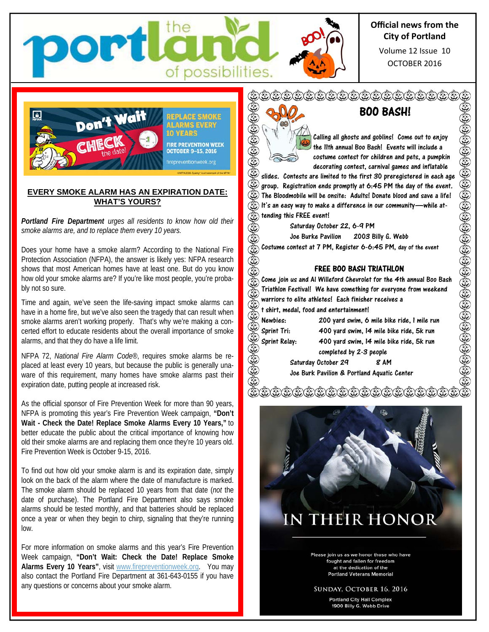

OCTOBER 2016 Volume 12 Issue 10



ort

#### **EVERY SMOKE ALARM HAS AN EXPIRATION DATE: WHAT'S YOURS?**

*Portland Fire Department urges all residents to know how old their smoke alarms are, and to replace them every 10 years.*

Does your home have a smoke alarm? According to the National Fire Protection Association (NFPA), the answer is likely yes: NFPA research shows that most American homes have at least one. But do you know how old your smoke alarms are? If you're like most people, you're probably not so sure.

Time and again, we've seen the life-saving impact smoke alarms can have in a home fire, but we've also seen the tragedy that can result when smoke alarms aren't working properly. That's why we're making a concerted effort to educate residents about the overall importance of smoke alarms, and that they do have a life limit.

NFPA 72, *National Fire Alarm Code*®, requires smoke alarms be replaced at least every 10 years, but because the public is generally unaware of this requirement, many homes have smoke alarms past their expiration date, putting people at increased risk.

As the official sponsor of Fire Prevention Week for more than 90 years, NFPA is promoting this year's Fire Prevention Week campaign, **"Don't Wait - Check the Date! Replace Smoke Alarms Every 10 Years,"** to better educate the public about the critical importance of knowing how old their smoke alarms are and replacing them once they're 10 years old. Fire Prevention Week is October 9-15, 2016.

To find out how old your smoke alarm is and its expiration date, simply look on the back of the alarm where the date of manufacture is marked. The smoke alarm should be replaced 10 years from that date (*not* the date of purchase). The Portland Fire Department also says smoke alarms should be tested monthly, and that batteries should be replaced once a year or when they begin to chirp, signaling that they're running low.

For more information on smoke alarms and this year's Fire Prevention Week campaign, **"Don't Wait: Check the Date! Replace Smoke Alarms Every 10 Years"**, visit www.firepreventionweek.org. You may also contact the Portland Fire Department at 361-643-0155 if you have any questions or concerns about your smoke alarm.



٤

٤

of possibilities.

# BOO BASH!

Calling all ghosts and goblins! Come out to enjoy the 11th annual Boo Bash! Events will include a costume contest for children and pets, a pumpkin decorating contest, carnival games and inflatable

slides. Contests are limited to the first 30 preregistered in each age group. Registration ends promptly at 6:45 PM the day of the event. The Bloodmobile will be onsite: Adults! Donate blood and save a life! ٨ It's an easy way to make a difference in our community—while at-٨ tending this FREE event!

Saturday October 22, 6-9 PM

Joe Burke Pavilion 2003 Billy G. Webb

Costume contest at 7 PM, Register 6-6:45 PM, day of the event

#### FREE BOO BASH TRIATHLON

 $\mathbb{G}(3)$ Come join us and Al Willeford Chevrolet for the 4th annual Boo Bash Triathlon Festival! We have something for everyone from weekend €€€€€ warriors to elite athletes! Each finisher receives a t shirt, medal, food and entertainment! ٨ Newbies: 200 yard swim, 6 mile bike ride, 1 mile run  $(3)$   $(3)$   $(3)$   $(3)$ Sprint Tri: 400 yard swim, 14 mile bike ride, 5k run Sprint Relay: 400 yard swim, 14 mile bike ride, 5k run completed by 2-3 people Saturday October 29 8 AM Joe Burk Pavilion & Portland Aquatic Center

面白色的白色白色白色白色白色白色色



Please join us as we honor those who have fought and fallen for freedom at the dedication of the **Portland Veterans Memorial** 

#### SUNDAY, OCTOBER 16, 2016

**Portland City Hall Complex** 1900 Billy G. Webb Drive